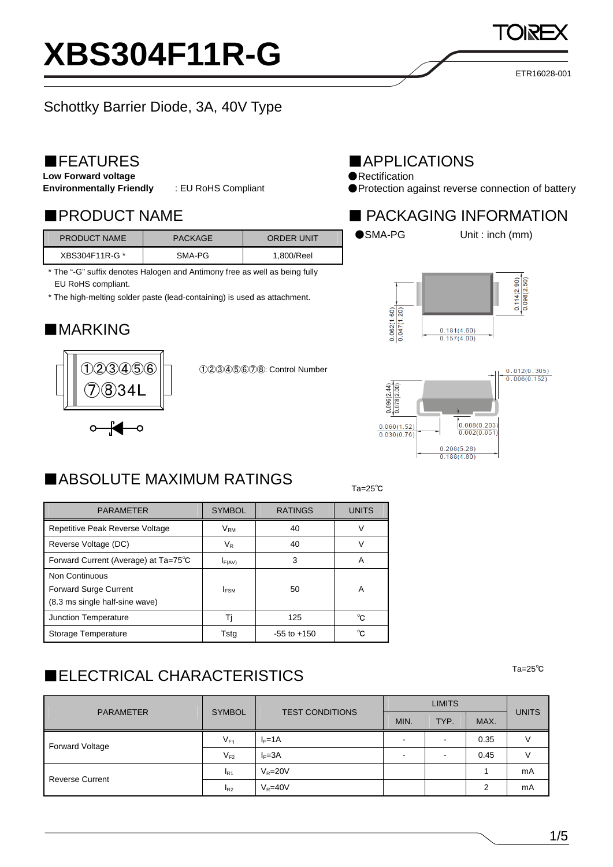1/5

### ETR16028-001

## Schottky Barrier Diode, 3A, 40V Type

**XBS304F11R-G**

## ■FEATURES

**Low Forward voltage** 

**Environmentally Friendly** : EU RoHS Compliant

| <b>PRODUCT NAME</b> | <b>PACKAGE</b> | <b>ORDER UNIT</b> |
|---------------------|----------------|-------------------|
| XBS304F11R-G *      | SMA-PG         | 1.800/Reel        |

\* The "-G" suffix denotes Halogen and Antimony free as well as being fully EU RoHS compliant.

\* The high-melting solder paste (lead-containing) is used as attachment.

## ■MARKING



①②③④⑤⑥⑦⑧: Control Number

## ■APPLICATIONS

- ●Rectification
- ●Protection against reverse connection of battery

### ■PRODUCT NAME ■ PACKAGING INFORMATION



●SMA-PG Unit : inch (mm)





#### $T_a=25^\circ$ Ta=25 $^{\circ}$ C ■ABSOLUTE MAXIMUM RATINGS

| <b>PARAMETER</b>                     | <b>SYMBOL</b>    | <b>RATINGS</b>  | <b>UNITS</b> |  |
|--------------------------------------|------------------|-----------------|--------------|--|
| Repetitive Peak Reverse Voltage      | $V_{\rm RM}$     | 40              | V            |  |
| Reverse Voltage (DC)                 | $V_{\mathsf{R}}$ | 40              | V            |  |
| Forward Current (Average) at Ta=75°C | $I_{F(AV)}$      | 3               | Α            |  |
| Non Continuous                       |                  |                 |              |  |
| <b>Forward Surge Current</b>         | <b>IFSM</b>      | 50              | Α            |  |
| (8.3 ms single half-sine wave)       |                  |                 |              |  |
| <b>Junction Temperature</b>          | Ti               | 125             | °C.          |  |
| Storage Temperature                  | Tsta             | $-55$ to $+150$ | °∩           |  |

# ■ELECTRICAL CHARACTERISTICS <sup>Ta=25℃</sup>

| <b>PARAMETER</b>       | <b>SYMBOL</b> | <b>TEST CONDITIONS</b> | <b>LIMITS</b>            |      |      | <b>UNITS</b> |
|------------------------|---------------|------------------------|--------------------------|------|------|--------------|
|                        |               |                        | MIN.                     | TYP. | MAX. |              |
| Forward Voltage        | $V_{F1}$      | $I_F = 1A$             |                          |      | 0.35 |              |
|                        | $V_{F2}$      | $I_F = 3A$             | $\overline{\phantom{0}}$ |      | 0.45 |              |
| <b>Reverse Current</b> | $I_{R1}$      | $V_R = 20V$            |                          |      |      | mA           |
|                        | $I_{R2}$      | $V_R = 40V$            |                          |      | 2    | mA           |

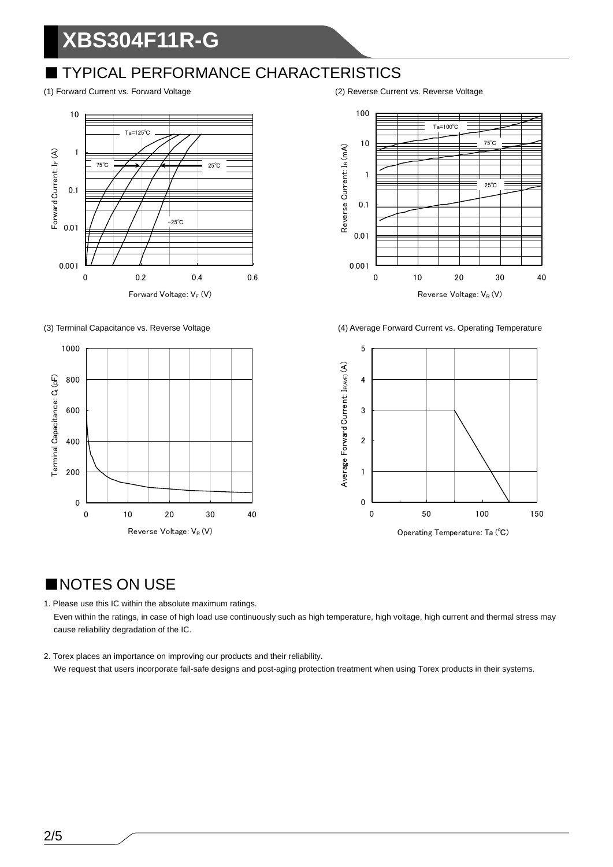# **XBS304F11R-G**

## ■ TYPICAL PERFORMANCE CHARACTERISTICS





(1) Forward Current vs. Forward Voltage (2) Reverse Current vs. Reverse Voltage



(3) Terminal Capacitance vs. Reverse Voltage (4) Average Forward Current vs. Operating Temperature



## ■NOTES ON USE

1. Please use this IC within the absolute maximum ratings. Even within the ratings, in case of high load use continuously such as high temperature, high voltage, high current and thermal stress may cause reliability degradation of the IC.

2. Torex places an importance on improving our products and their reliability. We request that users incorporate fail-safe designs and post-aging protection treatment when using Torex products in their systems.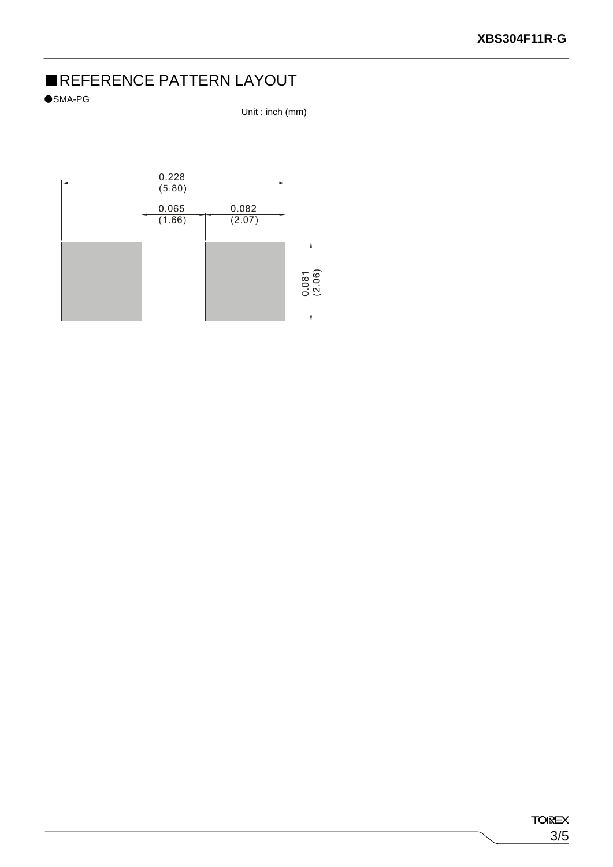# ■REFERENCE PATTERN LAYOUT

●SMA-PG

Unit : inch (mm)

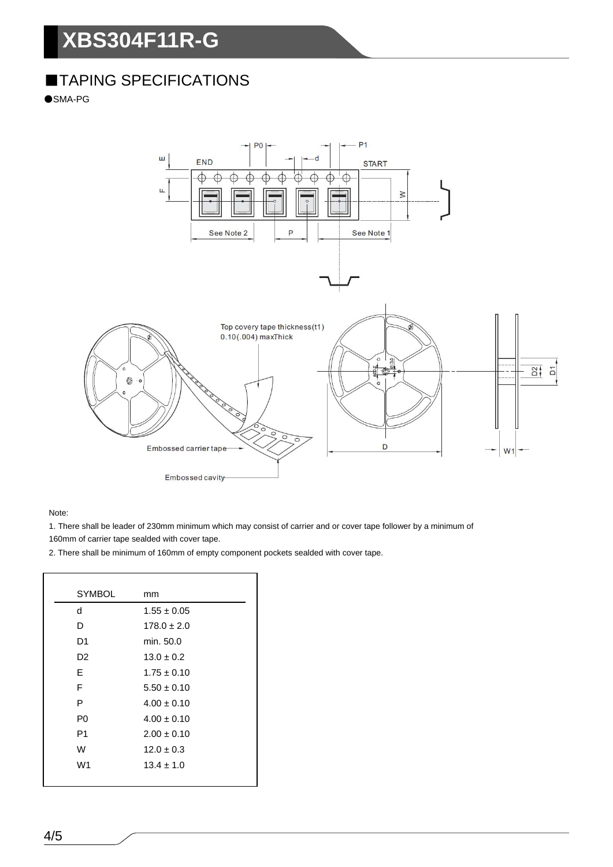# **XBS304F11R-G**

# ■TAPING SPECIFICATIONS

●SMA-PG



Note:

1. There shall be leader of 230mm minimum which may consist of carrier and or cover tape follower by a minimum of

160mm of carrier tape sealded with cover tape.

2. There shall be minimum of 160mm of empty component pockets sealded with cover tape.

| <b>SYMBOL</b>  | mm              |
|----------------|-----------------|
| d              | $1.55 \pm 0.05$ |
| D              | $178.0 \pm 2.0$ |
| D1             | min. 50.0       |
| D2             | $13.0 \pm 0.2$  |
| E              | $1.75 + 0.10$   |
| F              | $5.50 \pm 0.10$ |
| P              | $4.00 \pm 0.10$ |
| P0             | $4.00 \pm 0.10$ |
| P <sub>1</sub> | $2.00 \pm 0.10$ |
| W              | $12.0 \pm 0.3$  |
| W <sub>1</sub> | $13.4 \pm 1.0$  |
|                |                 |